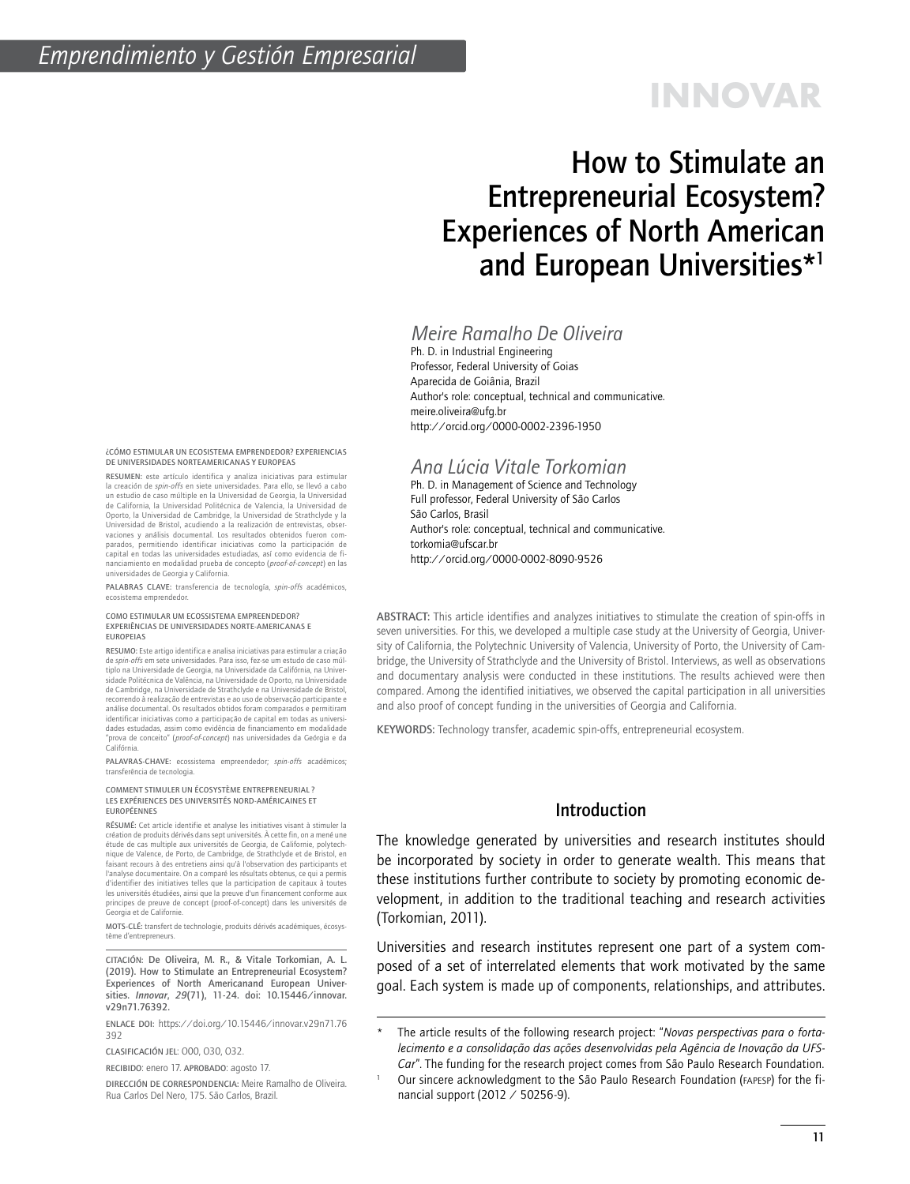# How to Stimulate an Entrepreneurial Ecosystem? Experiences of North American and European Universities\*<sup>1</sup>

### *Meire Ramalho De Oliveira*

Ph. D. in Industrial Engineering Professor, Federal University of Goias Aparecida de Goiânia, Brazil Author's role: conceptual, technical and communicative. meire.oliveira@ufg.br http://orcid.org/0000-0002-2396-1950

### *Ana Lúcia Vitale Torkomian*

Ph. D. in Management of Science and Technology Full professor, Federal University of São Carlos São Carlos, Brasil Author's role: conceptual, technical and communicative. torkomia@ufscar.br http://orcid.org/0000-0002-8090-9526

¿CÓMO ESTIMULAR UN ECOSISTEMA EMPRENDEDOR? EXPERIENCIAS DE UNIVERSIDADES NORTEAMERICANAS Y EUROPEAS

RESUMEN: este artículo identifica y analiza iniciativas para estimular la creación de *spin-offs* en siete universidades. Para ello, se llevó a cabo un estudio de caso múltiple en la Universidad de Georgia, la Universidad de California, la Universidad Politécnica de Valencia, la Universidad de Oporto, la Universidad de Cambridge, la Universidad de Strathclyde y la Universidad de Bristol, acudiendo a la realización de entrevistas, observaciones y análisis documental. Los resultados obtenidos fueron comparados, permitiendo identificar iniciativas como la participación de capital en todas las universidades estudiadas, así como evidencia de financiamiento en modalidad prueba de concepto (*proof-of-concept*) en las universidades de Georgia y California.

PALABRAS CLAVE: transferencia de tecnología, *spin-offs* académicos, ecosistema emprendedor.

#### COMO ESTIMULAR UM ECOSSISTEMA EMPREENDEDOR? EXPERIÊNCIAS DE UNIVERSIDADES NORTE-AMERICANAS E EUROPEIAS

RESUMO: Este artigo identifica e analisa iniciativas para estimular a criação de *spin-offs* em sete universidades. Para isso, fez-se um estudo de caso múltiplo na Universidade de Georgia, na Universidade da Califórnia, na Universidade Politécnica de Valência, na Universidade de Oporto, na Universidade de Cambridge, na Universidade de Strathclyde e na Universidade de Bristol, recorrendo à realização de entrevistas e ao uso de observação participante e análise documental. Os resultados obtidos foram comparados e permitiram identificar iniciativas como a participação de capital em todas as universidades estudadas, assim como evidência de financiamento em modalidade "prova de conceito" (*proof-of-concept*) nas universidades da Geórgia e da Califórnia.

PALAVRAS-CHAVE: ecossistema empreendedor; *spin-offs* acadêmicos; transferência de tecnologia.

#### COMMENT STIMULER UN ÉCOSYSTÈME ENTREPRENEURIAL ? LES EXPÉRIENCES DES UNIVERSITÉS NORD-AMÉRICAINES ET EUROPÉENNES

RÉSUMÉ: Cet article identifie et analyse les initiatives visant à stimuler la création de produits dérivés dans sept universités. À cette fin, on a mené une étude de cas multiple aux universités de Georgia, de Californie, polytechnique de Valence, de Porto, de Cambridge, de Strathclyde et de Bristol, en faisant recours à des entretiens ainsi qu'à l'observation des participants et l'analyse documentaire. On a comparé les résultats obtenus, ce qui a permis d'identifier des initiatives telles que la participation de capitaux à toutes les universités étudiées, ainsi que la preuve d'un financement conforme aux principes de preuve de concept (proof-of-concept) dans les universités de Georgia et de Californie.

MOTS-CLÉ: transfert de technologie, produits dérivés académiques, écosystème d'entrepreneurs.

CITACIÓN: De Oliveira, M. R., & Vitale Torkomian, A. L. (2019). How to Stimulate an Entrepreneurial Ecosystem? Experiences of North Americanand European Universities. *Innovar*, *29*(71), 11-24. doi: 10.15446/innovar. v29n71.76392.

ENLACE DOI: https://doi.org/10.15446/innovar.v29n71.76 392

CLASIFICACIÓN JEL: O00, O30, O32.

RECIBIDO: enero 17. APROBADO: agosto 17.

DIRECCIÓN DE CORRESPONDENCIA: Meire Ramalho de Oliveira. Rua Carlos Del Nero, 175. São Carlos, Brazil.

ABSTRACT: This article identifies and analyzes initiatives to stimulate the creation of spin-offs in seven universities. For this, we developed a multiple case study at the University of Georgia, University of California, the Polytechnic University of Valencia, University of Porto, the University of Cambridge, the University of Strathclyde and the University of Bristol. Interviews, as well as observations and documentary analysis were conducted in these institutions. The results achieved were then compared. Among the identified initiatives, we observed the capital participation in all universities and also proof of concept funding in the universities of Georgia and California.

KEYWORDS: Technology transfer, academic spin-offs, entrepreneurial ecosystem.

### Introduction

The knowledge generated by universities and research institutes should be incorporated by society in order to generate wealth. This means that these institutions further contribute to society by promoting economic development, in addition to the traditional teaching and research activities (Torkomian, 2011).

Universities and research institutes represent one part of a system composed of a set of interrelated elements that work motivated by the same goal. Each system is made up of components, relationships, and attributes.

<sup>\*</sup> The article results of the following research project: "*Novas perspectivas para o fortalecimento e a consolidação das ações desenvolvidas pela Agência de Inovação da UFS-Car*". The funding for the research project comes from São Paulo Research Foundation.

Our sincere acknowledgment to the São Paulo Research Foundation (FAPESP) for the financial support (2012 / 50256-9).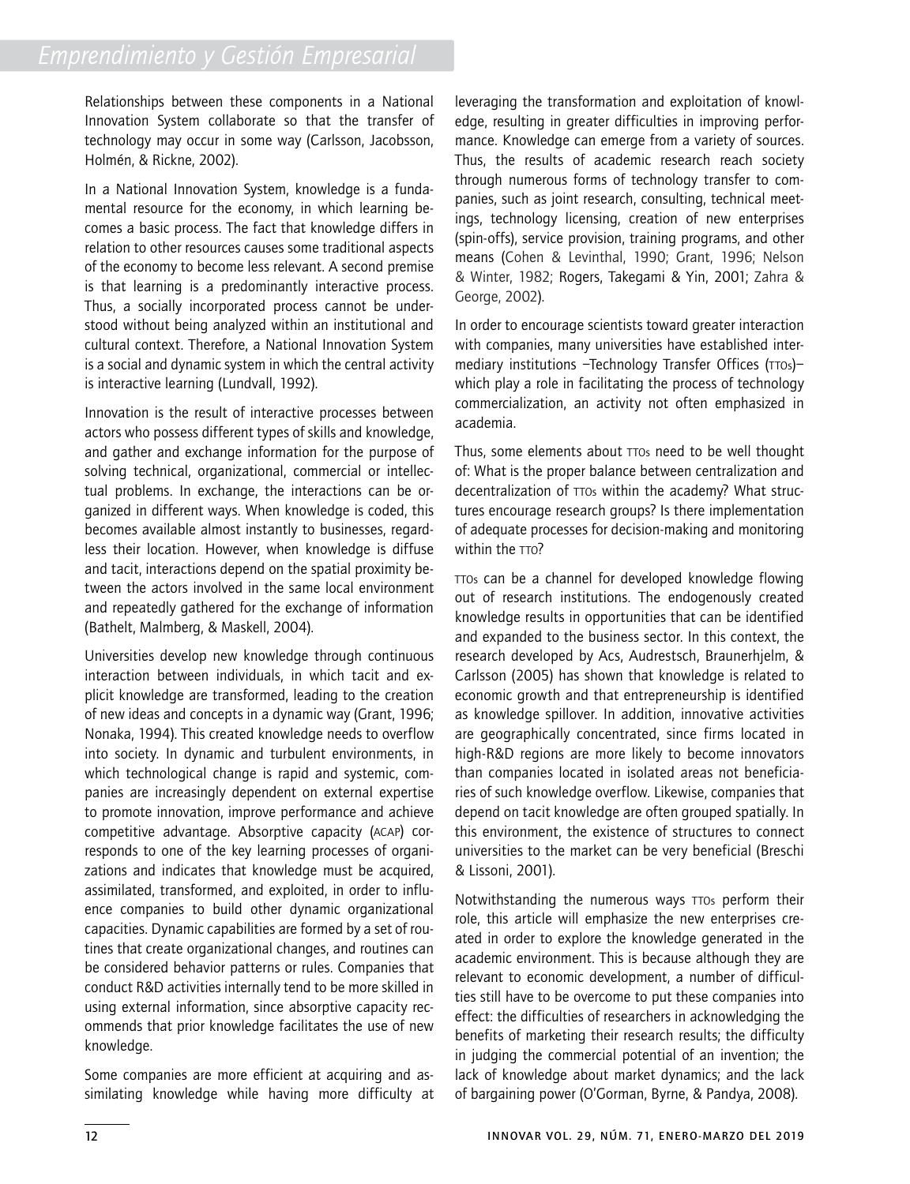Relationships between these components in a National Innovation System collaborate so that the transfer of technology may occur in some way (Carlsson, Jacobsson, Holmén, & Rickne, 2002).

In a National Innovation System, knowledge is a fundamental resource for the economy, in which learning becomes a basic process. The fact that knowledge differs in relation to other resources causes some traditional aspects of the economy to become less relevant. A second premise is that learning is a predominantly interactive process. Thus, a socially incorporated process cannot be understood without being analyzed within an institutional and cultural context. Therefore, a National Innovation System is a social and dynamic system in which the central activity is interactive learning (Lundvall, 1992).

Innovation is the result of interactive processes between actors who possess different types of skills and knowledge, and gather and exchange information for the purpose of solving technical, organizational, commercial or intellectual problems. In exchange, the interactions can be organized in different ways. When knowledge is coded, this becomes available almost instantly to businesses, regardless their location. However, when knowledge is diffuse and tacit, interactions depend on the spatial proximity between the actors involved in the same local environment and repeatedly gathered for the exchange of information (Bathelt, Malmberg, & Maskell, 2004).

Universities develop new knowledge through continuous interaction between individuals, in which tacit and explicit knowledge are transformed, leading to the creation of new ideas and concepts in a dynamic way (Grant, 1996; Nonaka, 1994). This created knowledge needs to overflow into society. In dynamic and turbulent environments, in which technological change is rapid and systemic, companies are increasingly dependent on external expertise to promote innovation, improve performance and achieve competitive advantage. Absorptive capacity (acap) corresponds to one of the key learning processes of organizations and indicates that knowledge must be acquired, assimilated, transformed, and exploited, in order to influence companies to build other dynamic organizational capacities. Dynamic capabilities are formed by a set of routines that create organizational changes, and routines can be considered behavior patterns or rules. Companies that conduct R&D activities internally tend to be more skilled in using external information, since absorptive capacity recommends that prior knowledge facilitates the use of new knowledge.

Some companies are more efficient at acquiring and assimilating knowledge while having more difficulty at leveraging the transformation and exploitation of knowledge, resulting in greater difficulties in improving performance. Knowledge can emerge from a variety of sources. Thus, the results of academic research reach society through numerous forms of technology transfer to companies, such as joint research, consulting, technical meetings, technology licensing, creation of new enterprises (spin-offs), service provision, training programs, and other means (Cohen & Levinthal, 1990; Grant, 1996; Nelson & Winter, 1982; Rogers, Takegami & Yin, 2001; Zahra & George, 2002).

In order to encourage scientists toward greater interaction with companies, many universities have established intermediary institutions -Technology Transfer Offices (TTOs)which play a role in facilitating the process of technology commercialization, an activity not often emphasized in academia.

Thus, some elements about TTOs need to be well thought of: What is the proper balance between centralization and decentralization of TTOs within the academy? What structures encourage research groups? Is there implementation of adequate processes for decision-making and monitoring within the TTO?

TTOs can be a channel for developed knowledge flowing out of research institutions. The endogenously created knowledge results in opportunities that can be identified and expanded to the business sector. In this context, the research developed by Acs, Audrestsch, Braunerhjelm, & Carlsson (2005) has shown that knowledge is related to economic growth and that entrepreneurship is identified as knowledge spillover. In addition, innovative activities are geographically concentrated, since firms located in high-R&D regions are more likely to become innovators than companies located in isolated areas not beneficiaries of such knowledge overflow. Likewise, companies that depend on tacit knowledge are often grouped spatially. In this environment, the existence of structures to connect universities to the market can be very beneficial (Breschi & Lissoni, 2001).

Notwithstanding the numerous ways TTOs perform their role, this article will emphasize the new enterprises created in order to explore the knowledge generated in the academic environment. This is because although they are relevant to economic development, a number of difficulties still have to be overcome to put these companies into effect: the difficulties of researchers in acknowledging the benefits of marketing their research results; the difficulty in judging the commercial potential of an invention; the lack of knowledge about market dynamics; and the lack of bargaining power (O'Gorman, Byrne, & Pandya, 2008).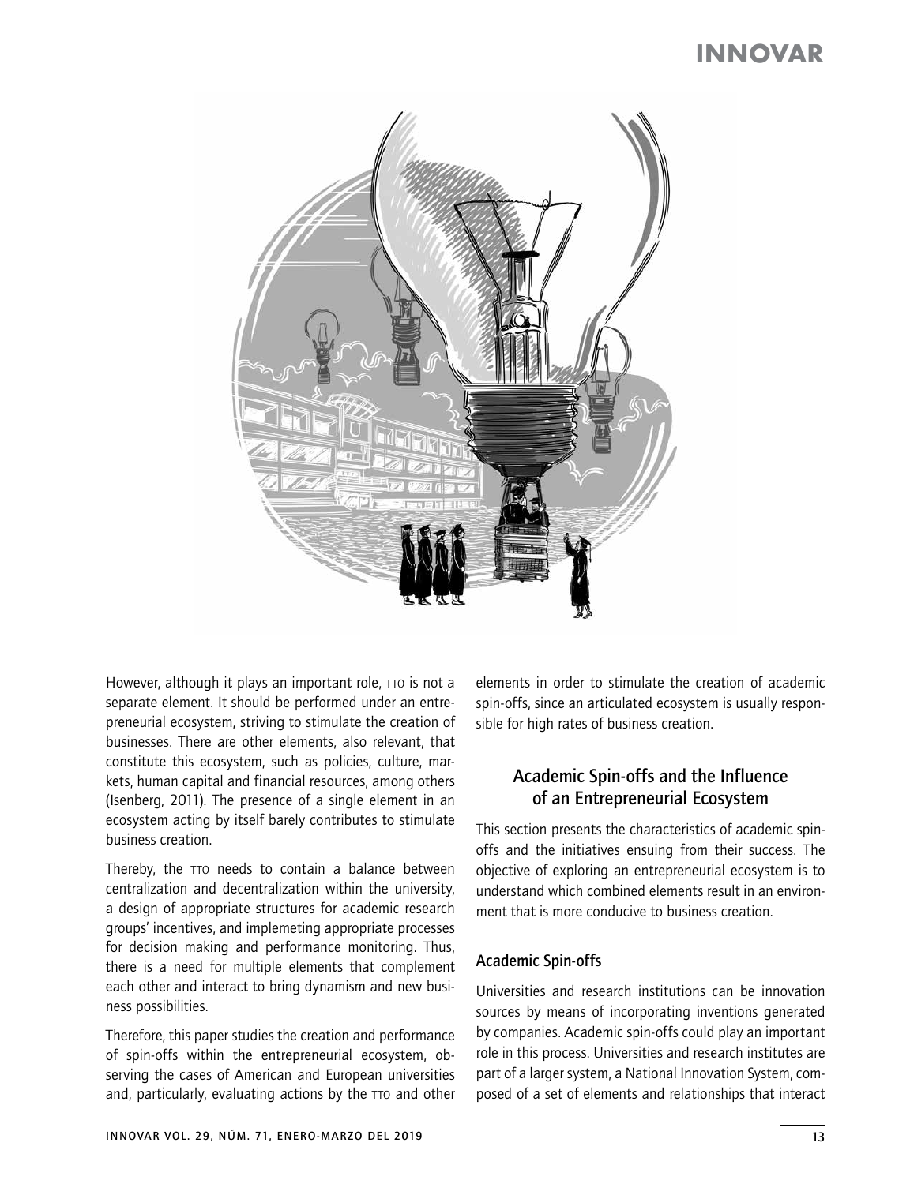

However, although it plays an important role, TTO is not a separate element. It should be performed under an entrepreneurial ecosystem, striving to stimulate the creation of businesses. There are other elements, also relevant, that constitute this ecosystem, such as policies, culture, markets, human capital and financial resources, among others (Isenberg, 2011). The presence of a single element in an ecosystem acting by itself barely contributes to stimulate business creation.

Thereby, the tto needs to contain a balance between centralization and decentralization within the university, a design of appropriate structures for academic research groups' incentives, and implemeting appropriate processes for decision making and performance monitoring. Thus, there is a need for multiple elements that complement each other and interact to bring dynamism and new business possibilities.

Therefore, this paper studies the creation and performance of spin-offs within the entrepreneurial ecosystem, observing the cases of American and European universities and, particularly, evaluating actions by the TTO and other elements in order to stimulate the creation of academic spin-offs, since an articulated ecosystem is usually responsible for high rates of business creation.

### Academic Spin-offs and the Influence of an Entrepreneurial Ecosystem

This section presents the characteristics of academic spinoffs and the initiatives ensuing from their success. The objective of exploring an entrepreneurial ecosystem is to understand which combined elements result in an environment that is more conducive to business creation.

### Academic Spin-offs

Universities and research institutions can be innovation sources by means of incorporating inventions generated by companies. Academic spin-offs could play an important role in this process. Universities and research institutes are part of a larger system, a National Innovation System, composed of a set of elements and relationships that interact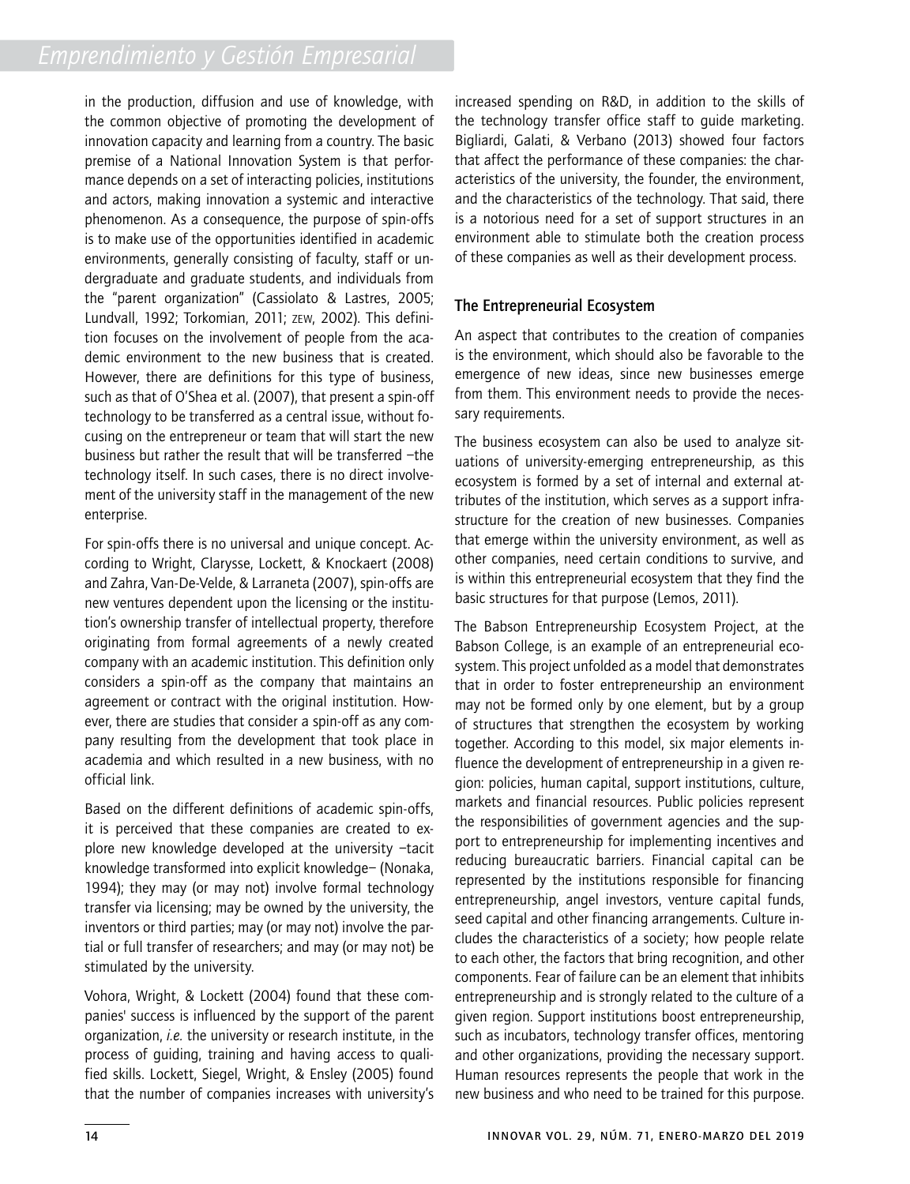in the production, diffusion and use of knowledge, with the common objective of promoting the development of innovation capacity and learning from a country. The basic premise of a National Innovation System is that performance depends on a set of interacting policies, institutions and actors, making innovation a systemic and interactive phenomenon. As a consequence, the purpose of spin-offs is to make use of the opportunities identified in academic environments, generally consisting of faculty, staff or undergraduate and graduate students, and individuals from the "parent organization" (Cassiolato & Lastres, 2005; Lundvall, 1992; Torkomian, 2011; zew, 2002). This definition focuses on the involvement of people from the academic environment to the new business that is created. However, there are definitions for this type of business, such as that of O'Shea et al. (2007), that present a spin-off technology to be transferred as a central issue, without focusing on the entrepreneur or team that will start the new business but rather the result that will be transferred –the technology itself. In such cases, there is no direct involvement of the university staff in the management of the new enterprise.

For spin-offs there is no universal and unique concept. According to Wright, Clarysse, Lockett, & Knockaert (2008) and Zahra, Van-De-Velde, & Larraneta (2007), spin-offs are new ventures dependent upon the licensing or the institution's ownership transfer of intellectual property, therefore originating from formal agreements of a newly created company with an academic institution. This definition only considers a spin-off as the company that maintains an agreement or contract with the original institution. However, there are studies that consider a spin-off as any company resulting from the development that took place in academia and which resulted in a new business, with no official link.

Based on the different definitions of academic spin-offs, it is perceived that these companies are created to explore new knowledge developed at the university –tacit knowledge transformed into explicit knowledge– (Nonaka, 1994); they may (or may not) involve formal technology transfer via licensing; may be owned by the university, the inventors or third parties; may (or may not) involve the partial or full transfer of researchers; and may (or may not) be stimulated by the university.

Vohora, Wright, & Lockett (2004) found that these companies' success is influenced by the support of the parent organization, *i.e.* the university or research institute, in the process of guiding, training and having access to qualified skills. Lockett, Siegel, Wright, & Ensley (2005) found that the number of companies increases with university's

increased spending on R&D, in addition to the skills of the technology transfer office staff to guide marketing. Bigliardi, Galati, & Verbano (2013) showed four factors that affect the performance of these companies: the characteristics of the university, the founder, the environment, and the characteristics of the technology. That said, there is a notorious need for a set of support structures in an environment able to stimulate both the creation process of these companies as well as their development process.

### The Entrepreneurial Ecosystem

An aspect that contributes to the creation of companies is the environment, which should also be favorable to the emergence of new ideas, since new businesses emerge from them. This environment needs to provide the necessary requirements.

The business ecosystem can also be used to analyze situations of university-emerging entrepreneurship, as this ecosystem is formed by a set of internal and external attributes of the institution, which serves as a support infrastructure for the creation of new businesses. Companies that emerge within the university environment, as well as other companies, need certain conditions to survive, and is within this entrepreneurial ecosystem that they find the basic structures for that purpose (Lemos, 2011).

The Babson Entrepreneurship Ecosystem Project, at the Babson College, is an example of an entrepreneurial ecosystem. This project unfolded as a model that demonstrates that in order to foster entrepreneurship an environment may not be formed only by one element, but by a group of structures that strengthen the ecosystem by working together. According to this model, six major elements influence the development of entrepreneurship in a given region: policies, human capital, support institutions, culture, markets and financial resources. Public policies represent the responsibilities of government agencies and the support to entrepreneurship for implementing incentives and reducing bureaucratic barriers. Financial capital can be represented by the institutions responsible for financing entrepreneurship, angel investors, venture capital funds, seed capital and other financing arrangements. Culture includes the characteristics of a society; how people relate to each other, the factors that bring recognition, and other components. Fear of failure can be an element that inhibits entrepreneurship and is strongly related to the culture of a given region. Support institutions boost entrepreneurship, such as incubators, technology transfer offices, mentoring and other organizations, providing the necessary support. Human resources represents the people that work in the new business and who need to be trained for this purpose.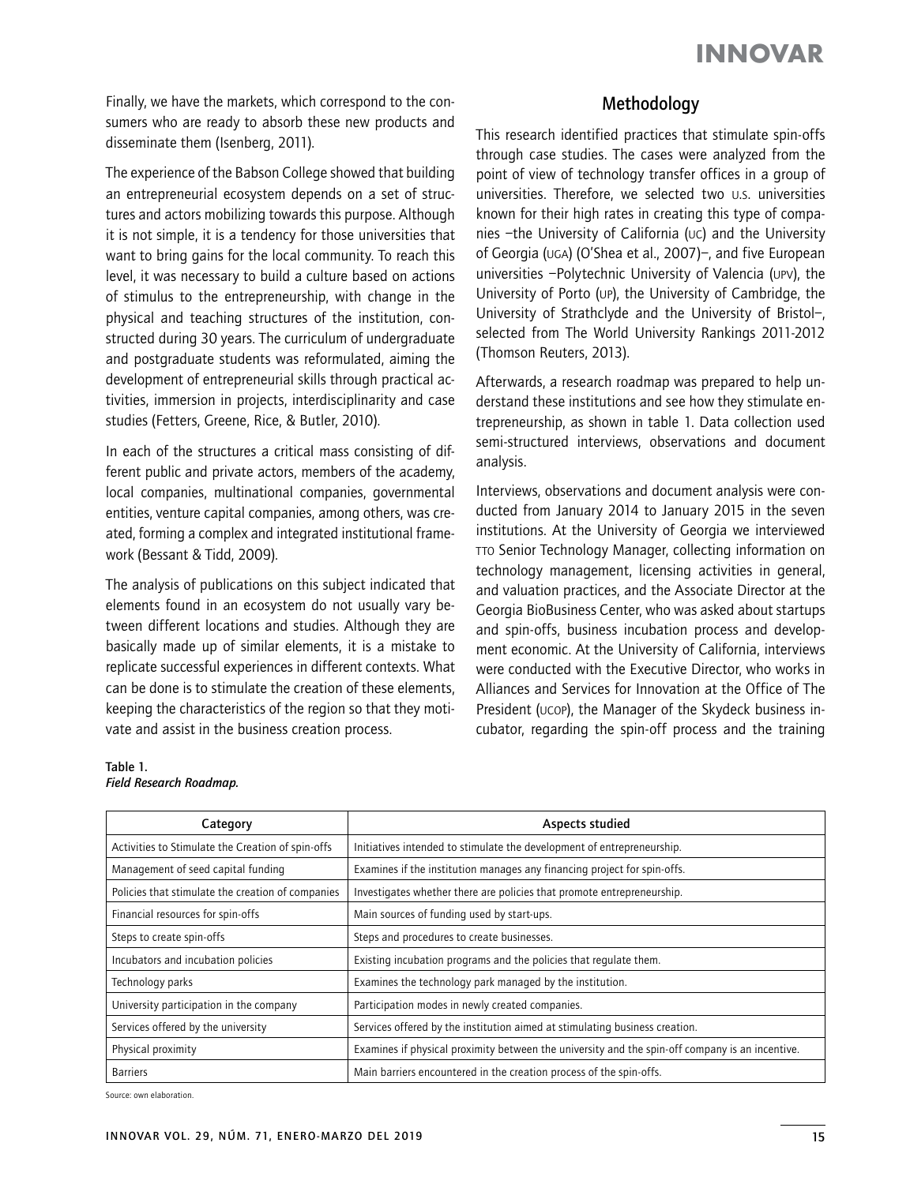Finally, we have the markets, which correspond to the consumers who are ready to absorb these new products and disseminate them (Isenberg, 2011).

The experience of the Babson College showed that building an entrepreneurial ecosystem depends on a set of structures and actors mobilizing towards this purpose. Although it is not simple, it is a tendency for those universities that want to bring gains for the local community. To reach this level, it was necessary to build a culture based on actions of stimulus to the entrepreneurship, with change in the physical and teaching structures of the institution, constructed during 30 years. The curriculum of undergraduate and postgraduate students was reformulated, aiming the development of entrepreneurial skills through practical activities, immersion in projects, interdisciplinarity and case studies (Fetters, Greene, Rice, & Butler, 2010).

In each of the structures a critical mass consisting of different public and private actors, members of the academy, local companies, multinational companies, governmental entities, venture capital companies, among others, was created, forming a complex and integrated institutional framework (Bessant & Tidd, 2009).

The analysis of publications on this subject indicated that elements found in an ecosystem do not usually vary between different locations and studies. Although they are basically made up of similar elements, it is a mistake to replicate successful experiences in different contexts. What can be done is to stimulate the creation of these elements, keeping the characteristics of the region so that they motivate and assist in the business creation process.

### Methodology

This research identified practices that stimulate spin-offs through case studies. The cases were analyzed from the point of view of technology transfer offices in a group of universities. Therefore, we selected two u.s. universities known for their high rates in creating this type of companies –the University of California (uc) and the University of Georgia (uga) (O'Shea et al., 2007)–, and five European universities –Polytechnic University of Valencia (upv), the University of Porto (up), the University of Cambridge, the University of Strathclyde and the University of Bristol–, selected from The World University Rankings 2011-2012 (Thomson Reuters, 2013).

Afterwards, a research roadmap was prepared to help understand these institutions and see how they stimulate entrepreneurship, as shown in table 1. Data collection used semi-structured interviews, observations and document analysis.

Interviews, observations and document analysis were conducted from January 2014 to January 2015 in the seven institutions. At the University of Georgia we interviewed TTO Senior Technology Manager, collecting information on technology management, licensing activities in general, and valuation practices, and the Associate Director at the Georgia BioBusiness Center, who was asked about startups and spin-offs, business incubation process and development economic. At the University of California, interviews were conducted with the Executive Director, who works in Alliances and Services for Innovation at the Office of The President (ucop), the Manager of the Skydeck business incubator, regarding the spin-off process and the training

### Table 1. *Field Research Roadmap.*

| Category                                          | Aspects studied                                                                                 |
|---------------------------------------------------|-------------------------------------------------------------------------------------------------|
| Activities to Stimulate the Creation of spin-offs | Initiatives intended to stimulate the development of entrepreneurship.                          |
| Management of seed capital funding                | Examines if the institution manages any financing project for spin-offs.                        |
| Policies that stimulate the creation of companies | Investigates whether there are policies that promote entrepreneurship.                          |
| Financial resources for spin-offs                 | Main sources of funding used by start-ups.                                                      |
| Steps to create spin-offs                         | Steps and procedures to create businesses.                                                      |
| Incubators and incubation policies                | Existing incubation programs and the policies that regulate them.                               |
| Technology parks                                  | Examines the technology park managed by the institution.                                        |
| University participation in the company           | Participation modes in newly created companies.                                                 |
| Services offered by the university                | Services offered by the institution aimed at stimulating business creation.                     |
| Physical proximity                                | Examines if physical proximity between the university and the spin-off company is an incentive. |
| <b>Barriers</b>                                   | Main barriers encountered in the creation process of the spin-offs.                             |

Source: own elaboration.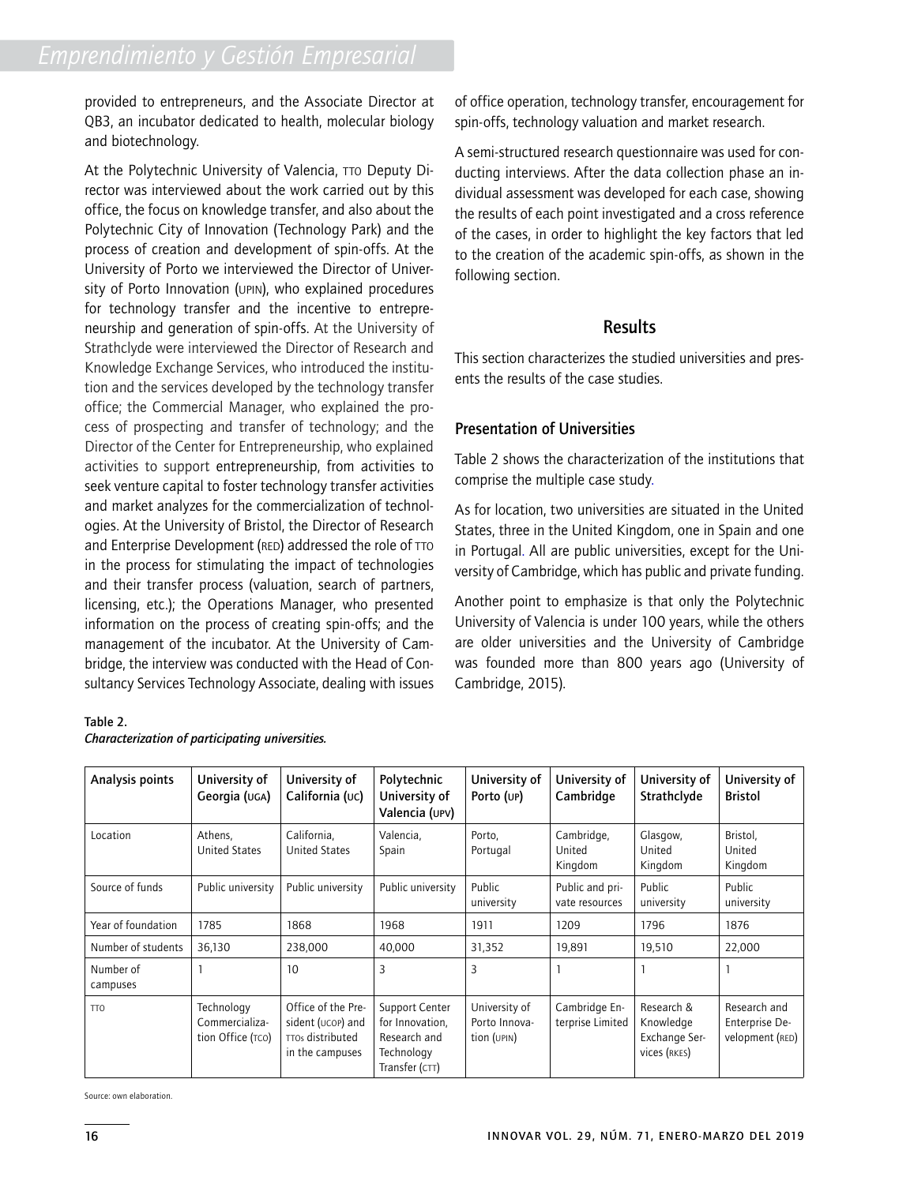provided to entrepreneurs, and the Associate Director at QB3, an incubator dedicated to health, molecular biology and biotechnology.

At the Polytechnic University of Valencia, TTO Deputy Director was interviewed about the work carried out by this office, the focus on knowledge transfer, and also about the Polytechnic City of Innovation (Technology Park) and the process of creation and development of spin-offs. At the University of Porto we interviewed the Director of University of Porto Innovation (UPIN), who explained procedures for technology transfer and the incentive to entrepreneurship and generation of spin-offs. At the University of Strathclyde were interviewed the Director of Research and Knowledge Exchange Services, who introduced the institution and the services developed by the technology transfer office; the Commercial Manager, who explained the process of prospecting and transfer of technology; and the Director of the Center for Entrepreneurship, who explained activities to support entrepreneurship, from activities to seek venture capital to foster technology transfer activities and market analyzes for the commercialization of technologies. At the University of Bristol, the Director of Research and Enterprise Development (RED) addressed the role of TTO in the process for stimulating the impact of technologies and their transfer process (valuation, search of partners, licensing, etc.); the Operations Manager, who presented information on the process of creating spin-offs; and the management of the incubator. At the University of Cambridge, the interview was conducted with the Head of Consultancy Services Technology Associate, dealing with issues

### Table 2.

*Characterization of participating universities.*

of office operation, technology transfer, encouragement for spin-offs, technology valuation and market research.

A semi-structured research questionnaire was used for conducting interviews. After the data collection phase an individual assessment was developed for each case, showing the results of each point investigated and a cross reference of the cases, in order to highlight the key factors that led to the creation of the academic spin-offs, as shown in the following section.

### **Results**

This section characterizes the studied universities and presents the results of the case studies.

### Presentation of Universities

Table 2 shows the characterization of the institutions that comprise the multiple case study.

As for location, two universities are situated in the United States, three in the United Kingdom, one in Spain and one in Portugal. All are public universities, except for the University of Cambridge, which has public and private funding.

Another point to emphasize is that only the Polytechnic University of Valencia is under 100 years, while the others are older universities and the University of Cambridge was founded more than 800 years ago (University of Cambridge, 2015).

| Analysis points       | University of<br>Georgia (UGA)                    | University of<br>California (UC)                                                           | Polytechnic<br>University of<br>Valencia (UPV)                                    | University of<br>Porto (UP)                   | University of<br>Cambridge        | University of<br>Strathclyde                             | University of<br><b>Bristol</b>                   |
|-----------------------|---------------------------------------------------|--------------------------------------------------------------------------------------------|-----------------------------------------------------------------------------------|-----------------------------------------------|-----------------------------------|----------------------------------------------------------|---------------------------------------------------|
| Location              | Athens,<br>United States                          | California,<br><b>United States</b>                                                        | Valencia,<br>Spain                                                                | Porto.<br>Portugal                            | Cambridge,<br>United<br>Kingdom   | Glasgow,<br>United<br>Kingdom                            | Bristol,<br>United<br>Kingdom                     |
| Source of funds       | Public university                                 | Public university                                                                          | Public university                                                                 | Public<br>university                          | Public and pri-<br>vate resources | Public<br>university                                     | Public<br>university                              |
| Year of foundation    | 1785                                              | 1868                                                                                       | 1968                                                                              | 1911                                          | 1209                              | 1796                                                     | 1876                                              |
| Number of students    | 36,130                                            | 238,000                                                                                    | 40.000                                                                            | 31,352                                        | 19,891                            | 19,510                                                   | 22,000                                            |
| Number of<br>campuses |                                                   | 10                                                                                         | 3                                                                                 | 3                                             |                                   |                                                          |                                                   |
| <b>TTO</b>            | Technology<br>Commercializa-<br>tion Office (TCO) | Office of the Pre-<br>sident (UCOP) and<br>TTO <sub>s</sub> distributed<br>in the campuses | Support Center<br>for Innovation,<br>Research and<br>Technology<br>Transfer (CTT) | University of<br>Porto Innova-<br>tion (UPIN) | Cambridge En-<br>terprise Limited | Research &<br>Knowledge<br>Exchange Ser-<br>Vices (RKES) | Research and<br>Enterprise De-<br>velopment (RED) |

Source: own elaboration.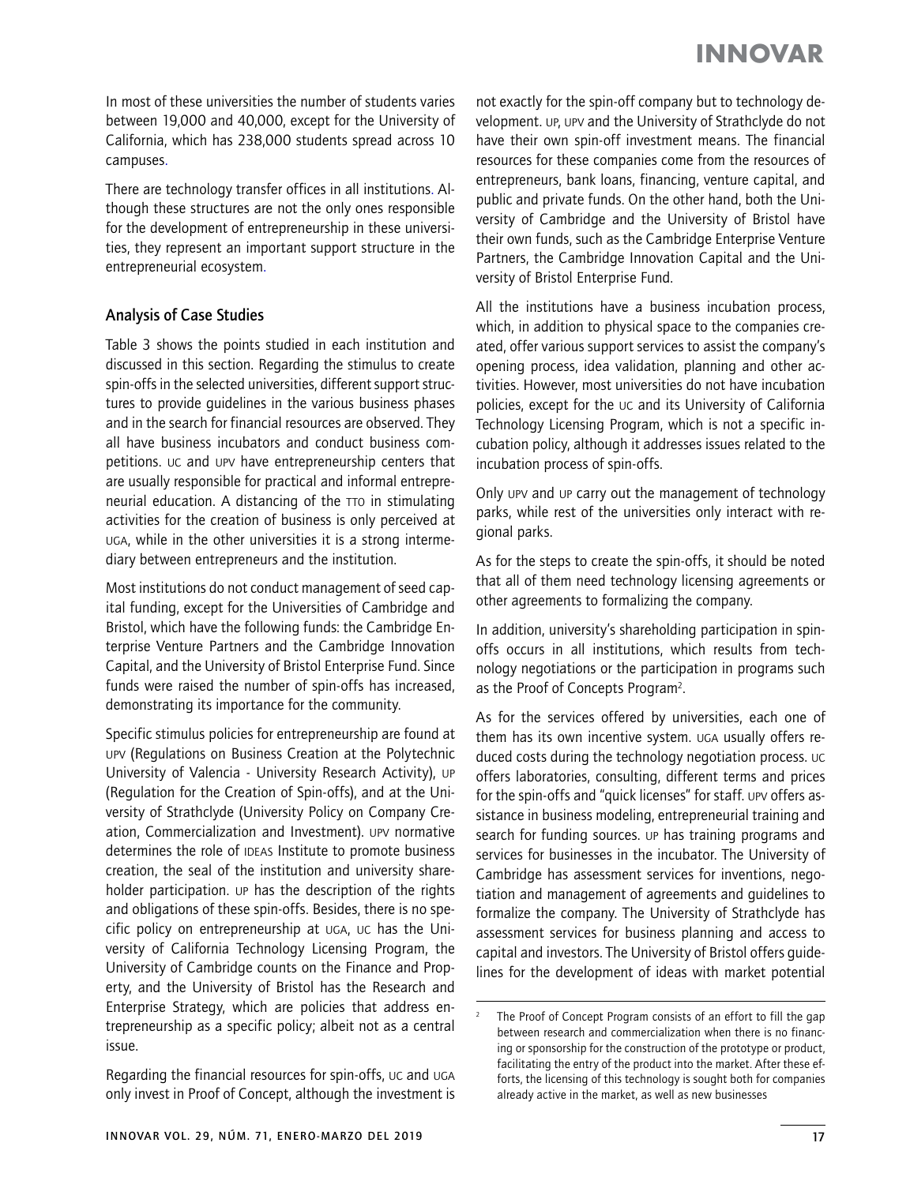In most of these universities the number of students varies between 19,000 and 40,000, except for the University of California, which has 238,000 students spread across 10 campuses.

There are technology transfer offices in all institutions. Although these structures are not the only ones responsible for the development of entrepreneurship in these universities, they represent an important support structure in the entrepreneurial ecosystem.

### Analysis of Case Studies

Table 3 shows the points studied in each institution and discussed in this section. Regarding the stimulus to create spin-offs in the selected universities, different support structures to provide guidelines in the various business phases and in the search for financial resources are observed. They all have business incubators and conduct business competitions. uc and upv have entrepreneurship centers that are usually responsible for practical and informal entrepreneurial education. A distancing of the tto in stimulating activities for the creation of business is only perceived at uga, while in the other universities it is a strong intermediary between entrepreneurs and the institution.

Most institutions do not conduct management of seed capital funding, except for the Universities of Cambridge and Bristol, which have the following funds: the Cambridge Enterprise Venture Partners and the Cambridge Innovation Capital, and the University of Bristol Enterprise Fund. Since funds were raised the number of spin-offs has increased, demonstrating its importance for the community.

Specific stimulus policies for entrepreneurship are found at upv (Regulations on Business Creation at the Polytechnic University of Valencia - University Research Activity), up (Regulation for the Creation of Spin-offs), and at the University of Strathclyde (University Policy on Company Creation, Commercialization and Investment). upv normative determines the role of **IDEAS** Institute to promote business creation, the seal of the institution and university shareholder participation. up has the description of the rights and obligations of these spin-offs. Besides, there is no specific policy on entrepreneurship at uga, uc has the University of California Technology Licensing Program, the University of Cambridge counts on the Finance and Property, and the University of Bristol has the Research and Enterprise Strategy, which are policies that address entrepreneurship as a specific policy; albeit not as a central issue.

Regarding the financial resources for spin-offs, uc and uga only invest in Proof of Concept, although the investment is not exactly for the spin-off company but to technology development. up, upv and the University of Strathclyde do not have their own spin-off investment means. The financial resources for these companies come from the resources of entrepreneurs, bank loans, financing, venture capital, and public and private funds. On the other hand, both the University of Cambridge and the University of Bristol have their own funds, such as the Cambridge Enterprise Venture Partners, the Cambridge Innovation Capital and the University of Bristol Enterprise Fund.

All the institutions have a business incubation process, which, in addition to physical space to the companies created, offer various support services to assist the company's opening process, idea validation, planning and other activities. However, most universities do not have incubation policies, except for the uc and its University of California Technology Licensing Program, which is not a specific incubation policy, although it addresses issues related to the incubation process of spin-offs.

Only upv and up carry out the management of technology parks, while rest of the universities only interact with regional parks.

As for the steps to create the spin-offs, it should be noted that all of them need technology licensing agreements or other agreements to formalizing the company.

In addition, university's shareholding participation in spinoffs occurs in all institutions, which results from technology negotiations or the participation in programs such as the Proof of Concepts Program<sup>2</sup>.

As for the services offered by universities, each one of them has its own incentive system. uga usually offers reduced costs during the technology negotiation process. uc offers laboratories, consulting, different terms and prices for the spin-offs and "quick licenses" for staff. upv offers assistance in business modeling, entrepreneurial training and search for funding sources. up has training programs and services for businesses in the incubator. The University of Cambridge has assessment services for inventions, negotiation and management of agreements and guidelines to formalize the company. The University of Strathclyde has assessment services for business planning and access to capital and investors. The University of Bristol offers guidelines for the development of ideas with market potential

The Proof of Concept Program consists of an effort to fill the gap between research and commercialization when there is no financing or sponsorship for the construction of the prototype or product, facilitating the entry of the product into the market. After these efforts, the licensing of this technology is sought both for companies already active in the market, as well as new businesses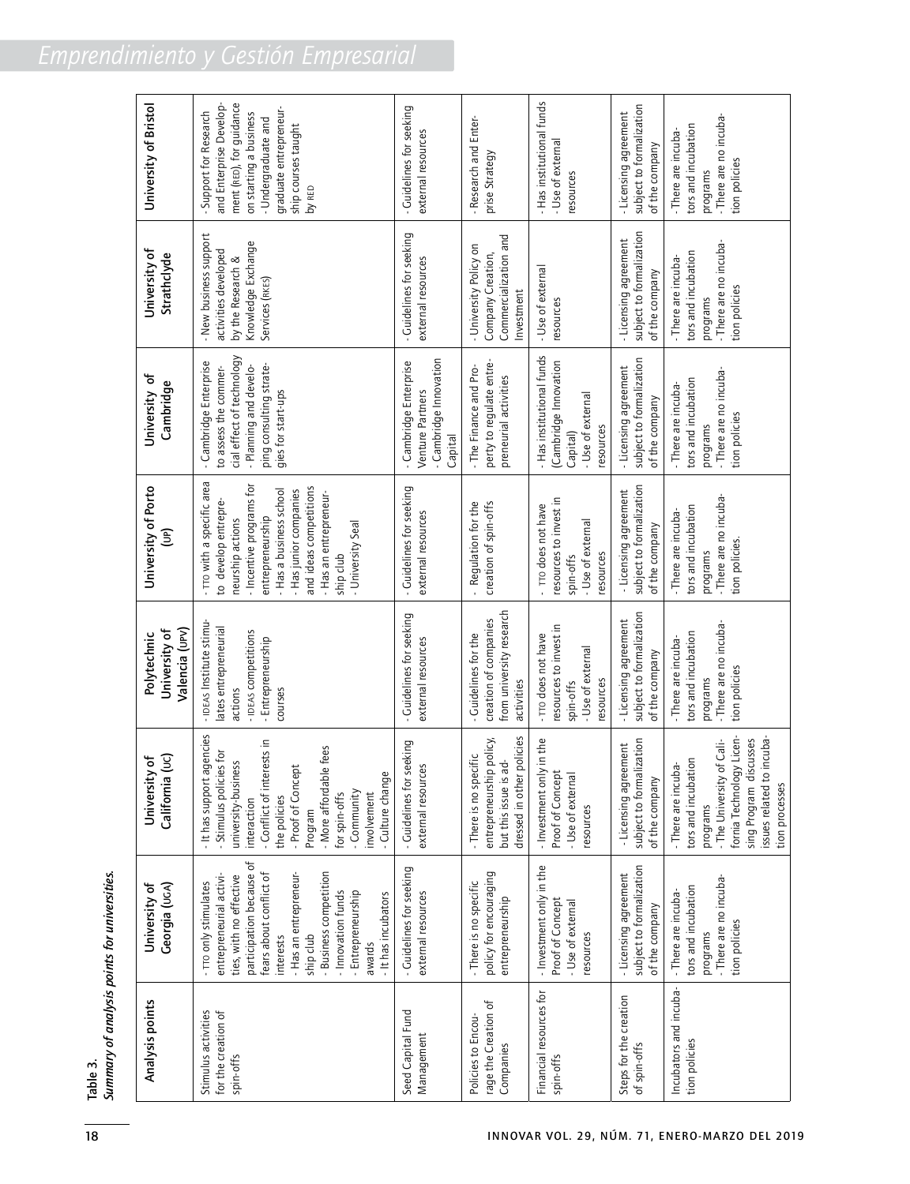| Summary of analysis points for universities.<br>Table 3. |                                                                                                                                                                                                                                                                                               |                                                                                                                                                                                                                                                                                     |                                                                                                                       |                                                                                                                                                                                                                                                                   |                                                                                                                                                        |                                                                                                              |                                                                                                                                                                                         |
|----------------------------------------------------------|-----------------------------------------------------------------------------------------------------------------------------------------------------------------------------------------------------------------------------------------------------------------------------------------------|-------------------------------------------------------------------------------------------------------------------------------------------------------------------------------------------------------------------------------------------------------------------------------------|-----------------------------------------------------------------------------------------------------------------------|-------------------------------------------------------------------------------------------------------------------------------------------------------------------------------------------------------------------------------------------------------------------|--------------------------------------------------------------------------------------------------------------------------------------------------------|--------------------------------------------------------------------------------------------------------------|-----------------------------------------------------------------------------------------------------------------------------------------------------------------------------------------|
| Analysis points                                          | Georgia (UGA)<br>University of                                                                                                                                                                                                                                                                | California (UC)<br>University of                                                                                                                                                                                                                                                    | Valencia (UPV)<br>University of<br>Polytechnic                                                                        | University of Porto<br>Ξ                                                                                                                                                                                                                                          | University of<br>Cambridge                                                                                                                             | University of<br>Strathclyde                                                                                 | University of Bristol                                                                                                                                                                   |
| Stimulus activities<br>for the creation of<br>spin-offs  | participation because of<br>- Business competition<br>fears about conflict of<br>- Has an entrepreneur-<br>entrepreneurial activi-<br>ties, with no effective<br>- TTO only stimulates<br>- Innovation funds<br>- Entrepreneurship<br>- It has incubators<br>ship club<br>interests<br>awards | - It has support agencies<br>- Conflict of interests in<br>rees<br><b>b</b><br>- Stimulus policies f<br>university-business<br>- Proof of Concept<br>- More affordable<br>- Culture change<br>- Community<br>involvement<br>for spin-offs<br>the policies<br>interaction<br>Program | - IDEAS Institute stimu-<br>lates entrepreneurial<br>- IDEAS competitions<br>- Entrepreneurship<br>courses<br>actions | - TTO with a specific area<br>- Incentive programs for<br>and ideas competitions<br>- Has junior companies<br>- Has a business school<br>- Has an entrepreneur-<br>to develop entrepre-<br>entrepreneurship<br>neurship actions<br>- University Seal<br>ship club | cial effect of technology<br>- Cambridge Enterprise<br>ping consulting strate-<br>to assess the commer-<br>-Planning and develo-<br>gies for start-ups | - New business support<br>Knowledge Exchange<br>activities developed<br>by the Research &<br>Services (RKES) | ment (RED), for guidance<br>and Enterprise Develop-<br>graduate entrepreneur-<br>Support for Research<br>on starting a business<br>- Undergraduate and<br>ship courses taught<br>by RED |
| Seed Capital Fund<br>Management                          | - Guidelines for seeking<br>external resources                                                                                                                                                                                                                                                | king<br>- Guidelines for see<br>external resources                                                                                                                                                                                                                                  | - Guidelines for seeking<br>external resources                                                                        | - Guidelines for seeking<br>external resources                                                                                                                                                                                                                    | - Cambridge Innovation<br>- Cambridge Enterprise<br>Venture Partners<br>Capital                                                                        | - Guidelines for seeking<br>external resources                                                               | - Guidelines for seeking<br>external resources                                                                                                                                          |
| rage the Creation of<br>Policies to Encou-<br>Companies  | policy for encouraging<br>- There is no specific<br>entrepreneurship                                                                                                                                                                                                                          | entrepreneurship policy,<br>dressed in other policies<br>- There is no specific<br>but this issue is ad-                                                                                                                                                                            | from university research<br>creation of companies<br>- Guidelines for the<br>activities                               | - Regulation for the<br>creation of spin-offs                                                                                                                                                                                                                     | perty to regulate entre-<br>preneurial activities<br>- The Finance and Pro-                                                                            | Commercialization and<br>- University Policy on<br>Company Creation,<br>Investment                           | - Research and Enter-<br>prise Strategy                                                                                                                                                 |
| Financial resources for<br>spin-offs                     | - Investment only in the<br>Proof of Concept<br>- Use of external<br>esources                                                                                                                                                                                                                 | - Investment only in the<br>Proof of Concept<br>- Use of external<br>resources                                                                                                                                                                                                      | resources to invest in<br>- TTO does not have<br>- Use of external<br>resources<br>spin-offs                          | resources to invest in<br>- $\pi$ o does not have<br>- Use of external<br>resources<br>spin-offs                                                                                                                                                                  | - Has institutional funds<br>(Cambridge Innovation<br>- Use of external<br>resources<br>Capital)                                                       | - Use of external<br>resources                                                                               | - Has institutional funds<br>- Use of external<br>resources                                                                                                                             |
| Steps for the creation<br>of spin-offs                   | subject to formalization<br>- Licensing agreement<br>of the company                                                                                                                                                                                                                           | subject to formalization<br>- Licensing agreement<br>of the company                                                                                                                                                                                                                 | subject to formalization<br>- Licensing agreement<br>of the company                                                   | subject to formalization<br>- Licensing agreement<br>of the company                                                                                                                                                                                               | subject to formalization<br>- Licensing agreement<br>of the company                                                                                    | subject to formalization<br>- Licensing agreement<br>of the company                                          | subject to formalization<br>- Licensing agreement<br>of the company                                                                                                                     |
| Incubators and incuba-<br>tion policies                  | - There are no incuba-<br>tors and incubation<br>- There are incuba-<br>tion policies<br>programs                                                                                                                                                                                             | Licen-<br>issues related to incuba-<br>sing Program discusses<br>$Cali-$<br>- There are incuba-<br>tors and incubation<br>fornia Technology<br>- The University of<br>tion processes<br>programs                                                                                    | - There are no incuba-<br>tors and incubation<br>- There are incuba-<br>tion policies<br>programs                     | - There are no incuba-<br>tors and incubation<br>- There are incuba-<br>tion policies.<br>programs                                                                                                                                                                | - There are no incuba-<br>tors and incubation<br>- There are incuba-<br>tion policies<br>programs                                                      | - There are no incuba-<br>tors and incubation<br>- There are incuba-<br>tion policies<br>programs            | - There are no incuba-<br>tors and incubation<br>- There are incuba-<br>tion policies<br>programs                                                                                       |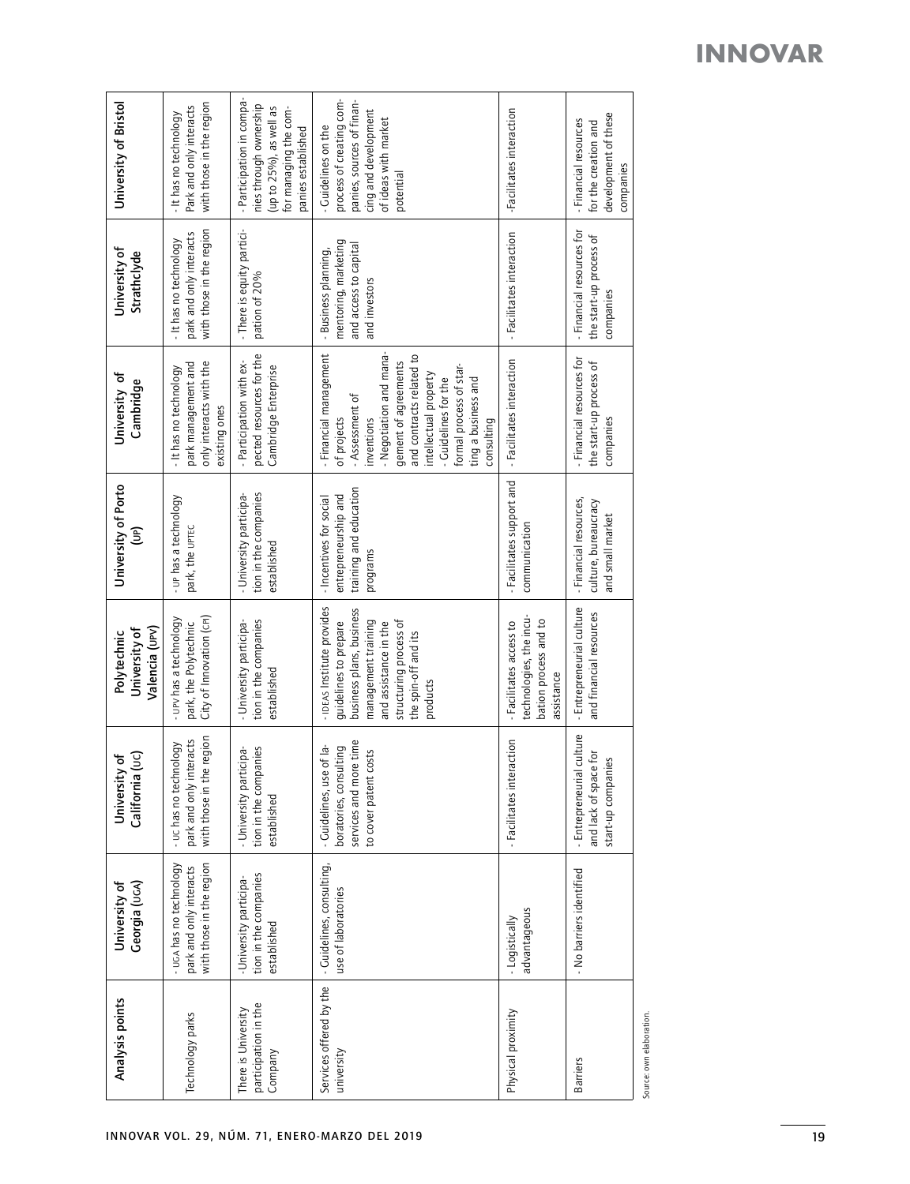| Analysis points                                        | Georgia (UGA)<br>University of                                                 | California (UC)<br>University of                                                                      | Valencia (UPV)<br>University of<br>Polytechnic                                                                                                                                                | University of Porto<br>(JP)                                                           | University of<br>Cambridge                                                                                                                                                                                                                                             | University of<br>Strathclyde                                                           | University of Bristol                                                                                                                     |
|--------------------------------------------------------|--------------------------------------------------------------------------------|-------------------------------------------------------------------------------------------------------|-----------------------------------------------------------------------------------------------------------------------------------------------------------------------------------------------|---------------------------------------------------------------------------------------|------------------------------------------------------------------------------------------------------------------------------------------------------------------------------------------------------------------------------------------------------------------------|----------------------------------------------------------------------------------------|-------------------------------------------------------------------------------------------------------------------------------------------|
| Technology parks                                       | with those in the region<br>- UGA has no technology<br>park and only interacts | with those in the region<br>park and only interacts<br>- uc has no technology                         | City of Innovation (cPI)<br>- UPV has a technology<br>park, the Polytechnic                                                                                                                   | - UP has a technology<br>park, the uPTEC                                              | park management and<br>only interacts with the<br>- It has no technology<br>existing ones                                                                                                                                                                              | with those in the region<br>park and only interacts<br>- It has no technology          | with those in the region<br>Park and only interacts<br>- It has no technology                                                             |
| participation in the<br>There is University<br>Company | tion in the companies<br>-University participa-<br>established                 | tion in the companies<br>- University participa-<br>established                                       | - University participa-<br>tion in the companies<br>established                                                                                                                               | tion in the companies<br>- University participa-<br>established                       | pected resources for the<br>- Participation with ex-<br>Cambridge Enterprise                                                                                                                                                                                           | - There is equity partici-<br>pation of 20%                                            | - Participation in compa-<br>nies through ownership<br>(up to 25%), as well as<br>for managing the com-<br>panies established             |
| Services offered by the<br>university                  | - Guidelines, consulting,<br>use of laboratories                               | services and more time<br>- Guidelines, use of la-<br>boratories, consulting<br>to cover patent costs | - IDEAS Institute provides<br>business plans, business<br>structuring process of<br>management training<br>guidelines to prepare<br>and assistance in the<br>the spin-off and its<br>products | training and education<br>entrepreneurship and<br>- Incentives for social<br>programs | - Financial management<br>- Negotiation and mana-<br>and contracts related to<br>gement of agreements<br>formal process of star-<br>intellectual property<br>- Guidelines for the<br>ting a business and<br>- Assessment of<br>of projects<br>inventions<br>consulting | mentoring, marketing<br>and access to capital<br>- Business planning,<br>and investors | process of creating com-<br>panies, sources of finan-<br>cing and development<br>of ideas with market<br>- Guidelines on the<br>potential |
| Physical proximity                                     | advantageous<br>- Logistically                                                 | - Facilitates interaction                                                                             | technologies, the incu-<br>bation process and to<br>- Facilitates access to<br>assistance                                                                                                     | - Facilitates support and<br>communication                                            | - Facilitates interaction                                                                                                                                                                                                                                              | - Facilitates interaction                                                              | -Facilitates interaction                                                                                                                  |
| <b>Barriers</b>                                        | No barriers identified                                                         | - Entrepreneurial culture<br>and lack of space for<br>start-up companies                              | - Entrepreneurial culture<br>and financial resources                                                                                                                                          | - Financial resources,<br>culture, bureaucracy<br>and small market                    | - Financial resources for<br>the start-up process of<br>companies                                                                                                                                                                                                      | - Financial resources for<br>the start-up process of<br>companies                      | development of these<br>- Financial resources<br>for the creation and<br>companies                                                        |
| Source: own elaboration                                |                                                                                |                                                                                                       |                                                                                                                                                                                               |                                                                                       |                                                                                                                                                                                                                                                                        |                                                                                        |                                                                                                                                           |
|                                                        |                                                                                |                                                                                                       |                                                                                                                                                                                               |                                                                                       |                                                                                                                                                                                                                                                                        |                                                                                        |                                                                                                                                           |



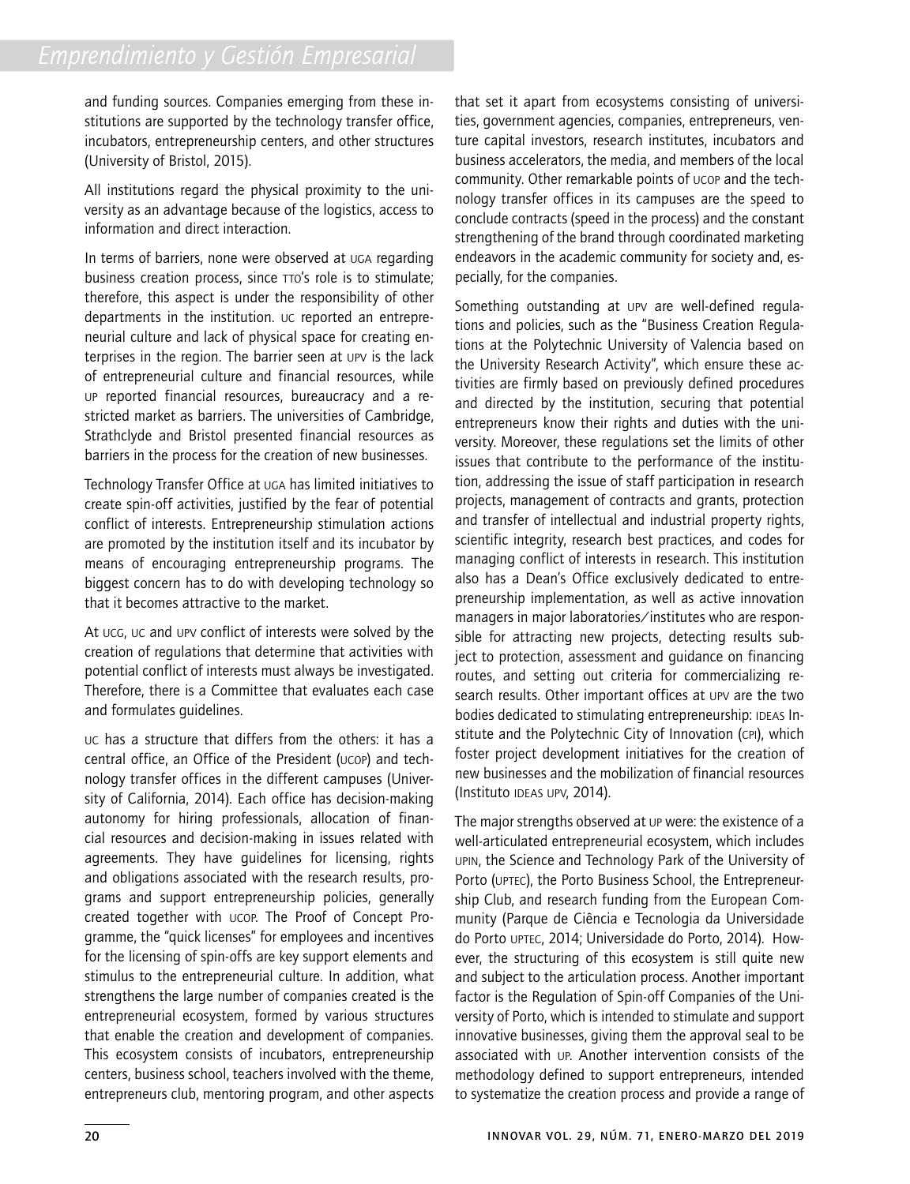and funding sources. Companies emerging from these institutions are supported by the technology transfer office, incubators, entrepreneurship centers, and other structures (University of Bristol, 2015).

All institutions regard the physical proximity to the university as an advantage because of the logistics, access to information and direct interaction.

In terms of barriers, none were observed at uga regarding business creation process, since TTO's role is to stimulate; therefore, this aspect is under the responsibility of other departments in the institution. uc reported an entrepreneurial culture and lack of physical space for creating enterprises in the region. The barrier seen at upv is the lack of entrepreneurial culture and financial resources, while up reported financial resources, bureaucracy and a restricted market as barriers. The universities of Cambridge, Strathclyde and Bristol presented financial resources as barriers in the process for the creation of new businesses.

Technology Transfer Office at uga has limited initiatives to create spin-off activities, justified by the fear of potential conflict of interests. Entrepreneurship stimulation actions are promoted by the institution itself and its incubator by means of encouraging entrepreneurship programs. The biggest concern has to do with developing technology so that it becomes attractive to the market.

At ucg, uc and upv conflict of interests were solved by the creation of regulations that determine that activities with potential conflict of interests must always be investigated. Therefore, there is a Committee that evaluates each case and formulates guidelines.

uc has a structure that differs from the others: it has a central office, an Office of the President (ucop) and technology transfer offices in the different campuses (University of California, 2014). Each office has decision-making autonomy for hiring professionals, allocation of financial resources and decision-making in issues related with agreements. They have guidelines for licensing, rights and obligations associated with the research results, programs and support entrepreneurship policies, generally created together with ucop. The Proof of Concept Programme, the "quick licenses" for employees and incentives for the licensing of spin-offs are key support elements and stimulus to the entrepreneurial culture. In addition, what strengthens the large number of companies created is the entrepreneurial ecosystem, formed by various structures that enable the creation and development of companies. This ecosystem consists of incubators, entrepreneurship centers, business school, teachers involved with the theme, entrepreneurs club, mentoring program, and other aspects

that set it apart from ecosystems consisting of universities, government agencies, companies, entrepreneurs, venture capital investors, research institutes, incubators and business accelerators, the media, and members of the local community. Other remarkable points of ucop and the technology transfer offices in its campuses are the speed to conclude contracts (speed in the process) and the constant strengthening of the brand through coordinated marketing endeavors in the academic community for society and, especially, for the companies.

Something outstanding at upv are well-defined regulations and policies, such as the "Business Creation Regulations at the Polytechnic University of Valencia based on the University Research Activity", which ensure these activities are firmly based on previously defined procedures and directed by the institution, securing that potential entrepreneurs know their rights and duties with the university. Moreover, these regulations set the limits of other issues that contribute to the performance of the institution, addressing the issue of staff participation in research projects, management of contracts and grants, protection and transfer of intellectual and industrial property rights, scientific integrity, research best practices, and codes for managing conflict of interests in research. This institution also has a Dean's Office exclusively dedicated to entrepreneurship implementation, as well as active innovation managers in major laboratories/institutes who are responsible for attracting new projects, detecting results subject to protection, assessment and guidance on financing routes, and setting out criteria for commercializing research results. Other important offices at upv are the two bodies dedicated to stimulating entrepreneurship: IDEAS Institute and the Polytechnic City of Innovation (cpi), which foster project development initiatives for the creation of new businesses and the mobilization of financial resources (Instituto IDEAS UPV, 2014).

The major strengths observed at up were: the existence of a well-articulated entrepreneurial ecosystem, which includes upin, the Science and Technology Park of the University of Porto (UPTEC), the Porto Business School, the Entrepreneurship Club, and research funding from the European Community (Parque de Ciência e Tecnologia da Universidade do Porto uptec, 2014; Universidade do Porto, 2014). However, the structuring of this ecosystem is still quite new and subject to the articulation process. Another important factor is the Regulation of Spin-off Companies of the University of Porto, which is intended to stimulate and support innovative businesses, giving them the approval seal to be associated with up. Another intervention consists of the methodology defined to support entrepreneurs, intended to systematize the creation process and provide a range of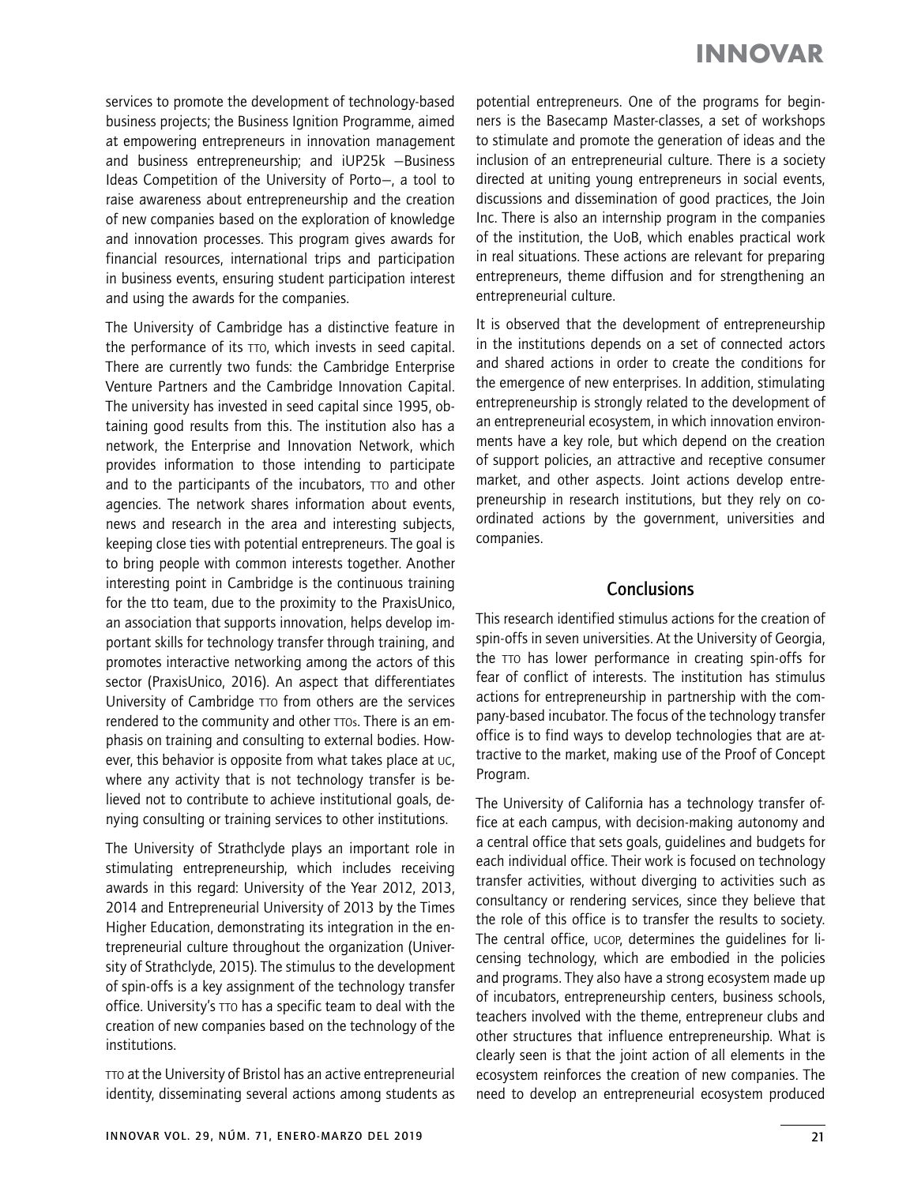services to promote the development of technology-based business projects; the Business Ignition Programme, aimed at empowering entrepreneurs in innovation management and business entrepreneurship; and iUP25k —Business Ideas Competition of the University of Porto—, a tool to raise awareness about entrepreneurship and the creation of new companies based on the exploration of knowledge and innovation processes. This program gives awards for financial resources, international trips and participation in business events, ensuring student participation interest and using the awards for the companies.

The University of Cambridge has a distinctive feature in the performance of its tto, which invests in seed capital. There are currently two funds: the Cambridge Enterprise Venture Partners and the Cambridge Innovation Capital. The university has invested in seed capital since 1995, obtaining good results from this. The institution also has a network, the Enterprise and Innovation Network, which provides information to those intending to participate and to the participants of the incubators, TTO and other agencies. The network shares information about events, news and research in the area and interesting subjects, keeping close ties with potential entrepreneurs. The goal is to bring people with common interests together. Another interesting point in Cambridge is the continuous training for the tto team, due to the proximity to the PraxisUnico, an association that supports innovation, helps develop important skills for technology transfer through training, and promotes interactive networking among the actors of this sector (PraxisUnico, 2016). An aspect that differentiates University of Cambridge TTO from others are the services rendered to the community and other TTOs. There is an emphasis on training and consulting to external bodies. However, this behavior is opposite from what takes place at uc, where any activity that is not technology transfer is believed not to contribute to achieve institutional goals, denying consulting or training services to other institutions.

The University of Strathclyde plays an important role in stimulating entrepreneurship, which includes receiving awards in this regard: University of the Year 2012, 2013, 2014 and Entrepreneurial University of 2013 by the Times Higher Education, demonstrating its integration in the entrepreneurial culture throughout the organization (University of Strathclyde, 2015). The stimulus to the development of spin-offs is a key assignment of the technology transfer office. University's tto has a specific team to deal with the creation of new companies based on the technology of the institutions.

TTO at the University of Bristol has an active entrepreneurial identity, disseminating several actions among students as potential entrepreneurs. One of the programs for beginners is the Basecamp Master-classes, a set of workshops to stimulate and promote the generation of ideas and the inclusion of an entrepreneurial culture. There is a society directed at uniting young entrepreneurs in social events, discussions and dissemination of good practices, the Join Inc. There is also an internship program in the companies of the institution, the UoB, which enables practical work in real situations. These actions are relevant for preparing entrepreneurs, theme diffusion and for strengthening an entrepreneurial culture.

It is observed that the development of entrepreneurship in the institutions depends on a set of connected actors and shared actions in order to create the conditions for the emergence of new enterprises. In addition, stimulating entrepreneurship is strongly related to the development of an entrepreneurial ecosystem, in which innovation environments have a key role, but which depend on the creation of support policies, an attractive and receptive consumer market, and other aspects. Joint actions develop entrepreneurship in research institutions, but they rely on coordinated actions by the government, universities and companies.

### Conclusions

This research identified stimulus actions for the creation of spin-offs in seven universities. At the University of Georgia, the tro has lower performance in creating spin-offs for fear of conflict of interests. The institution has stimulus actions for entrepreneurship in partnership with the company-based incubator. The focus of the technology transfer office is to find ways to develop technologies that are attractive to the market, making use of the Proof of Concept Program.

The University of California has a technology transfer office at each campus, with decision-making autonomy and a central office that sets goals, guidelines and budgets for each individual office. Their work is focused on technology transfer activities, without diverging to activities such as consultancy or rendering services, since they believe that the role of this office is to transfer the results to society. The central office, ucop, determines the guidelines for licensing technology, which are embodied in the policies and programs. They also have a strong ecosystem made up of incubators, entrepreneurship centers, business schools, teachers involved with the theme, entrepreneur clubs and other structures that influence entrepreneurship. What is clearly seen is that the joint action of all elements in the ecosystem reinforces the creation of new companies. The need to develop an entrepreneurial ecosystem produced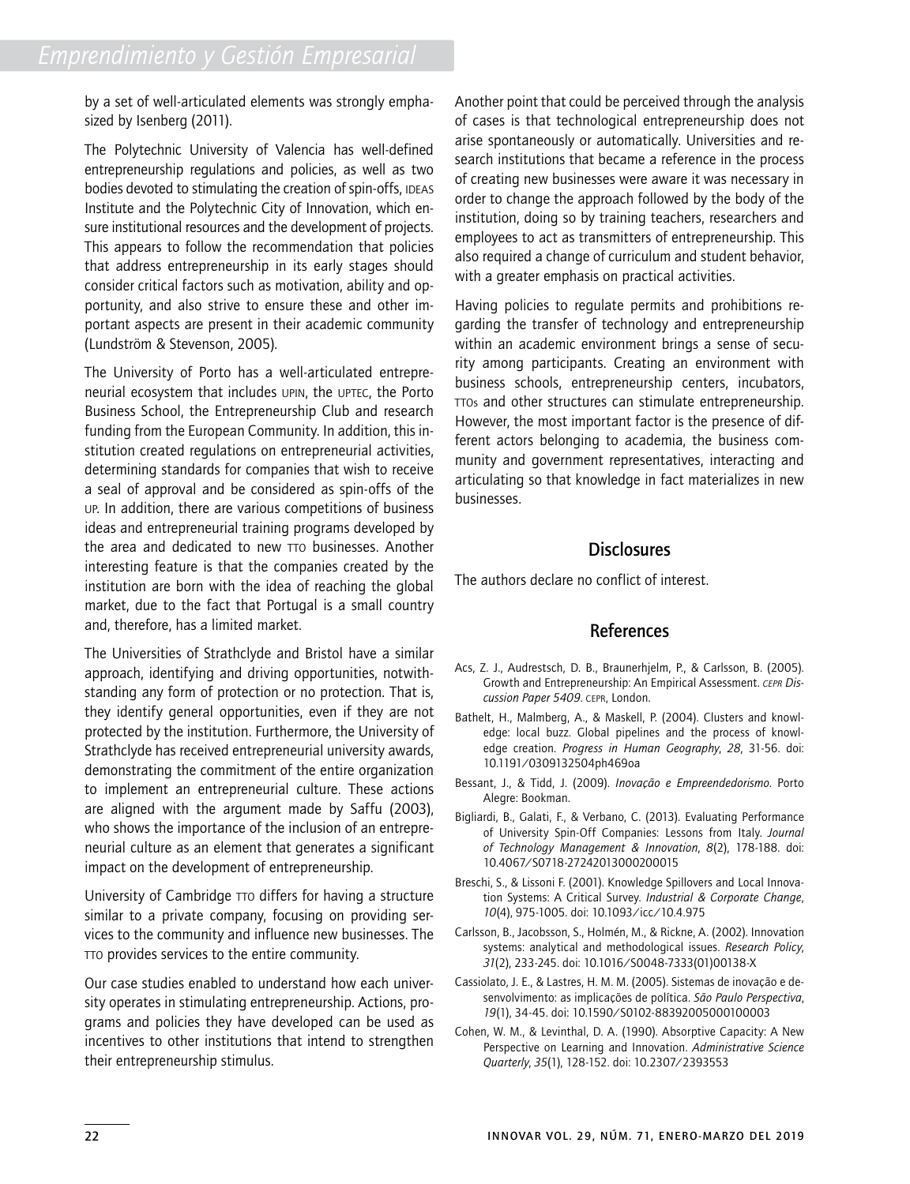by a set of well-articulated elements was strongly emphasized by Isenberg (2011).

The Polytechnic University of Valencia has well-defined entrepreneurship regulations and policies, as well as two bodies devoted to stimulating the creation of spin-offs, IDEAS Institute and the Polytechnic City of Innovation, which ensure institutional resources and the development of projects. This appears to follow the recommendation that policies that address entrepreneurship in its early stages should consider critical factors such as motivation, ability and opportunity, and also strive to ensure these and other important aspects are present in their academic community (Lundström & Stevenson, 2005).

The University of Porto has a well-articulated entrepreneurial ecosystem that includes UPIN, the UPTEC, the Porto Business School, the Entrepreneurship Club and research funding from the European Community. In addition, this institution created regulations on entrepreneurial activities, determining standards for companies that wish to receive a seal of approval and be considered as spin-offs of the up. In addition, there are various competitions of business ideas and entrepreneurial training programs developed by the area and dedicated to new TTO businesses. Another interesting feature is that the companies created by the institution are born with the idea of reaching the global market, due to the fact that Portugal is a small country and, therefore, has a limited market.

The Universities of Strathclyde and Bristol have a similar approach, identifying and driving opportunities, notwithstanding any form of protection or no protection. That is, they identify general opportunities, even if they are not protected by the institution. Furthermore, the University of Strathclyde has received entrepreneurial university awards, demonstrating the commitment of the entire organization to implement an entrepreneurial culture. These actions are aligned with the argument made by Saffu (2003), who shows the importance of the inclusion of an entrepreneurial culture as an element that generates a significant impact on the development of entrepreneurship.

University of Cambridge TTO differs for having a structure similar to a private company, focusing on providing services to the community and influence new businesses. The TTO provides services to the entire community.

Our case studies enabled to understand how each university operates in stimulating entrepreneurship. Actions, programs and policies they have developed can be used as incentives to other institutions that intend to strengthen their entrepreneurship stimulus.

Another point that could be perceived through the analysis of cases is that technological entrepreneurship does not arise spontaneously or automatically. Universities and research institutions that became a reference in the process of creating new businesses were aware it was necessary in order to change the approach followed by the body of the institution, doing so by training teachers, researchers and employees to act as transmitters of entrepreneurship. This also required a change of curriculum and student behavior, with a greater emphasis on practical activities.

Having policies to regulate permits and prohibitions regarding the transfer of technology and entrepreneurship within an academic environment brings a sense of security among participants. Creating an environment with business schools, entrepreneurship centers, incubators, TTOs and other structures can stimulate entrepreneurship. However, the most important factor is the presence of different actors belonging to academia, the business community and government representatives, interacting and articulating so that knowledge in fact materializes in new businesses.

### **Disclosures**

The authors declare no conflict of interest.

### References

- Acs, Z. J., Audrestsch, D. B., Braunerhjelm, P., & Carlsson, B. (2005). Growth and Entrepreneurship: An Empirical Assessment. *cepr Discussion Paper 5409*. cepr, London.
- Bathelt, H., Malmberg, A., & Maskell, P. (2004). Clusters and knowledge: local buzz. Global pipelines and the process of knowledge creation. *Progress in Human Geography*, *28*, 31-56. doi: 10.1191/0309132504ph469oa
- Bessant, J., & Tidd, J. (2009). *Inovação e Empreendedorismo*. Porto Alegre: Bookman.
- Bigliardi, B., Galati, F., & Verbano, C. (2013). Evaluating Performance of University Spin-Off Companies: Lessons from Italy. *Journal of Technology Management & Innovation*, *8*(2), 178-188. doi: 10.4067/S0718-27242013000200015
- Breschi, S., & Lissoni F. (2001). Knowledge Spillovers and Local Innovation Systems: A Critical Survey. *Industrial & Corporate Change*, *10*(4), 975-1005. doi: 10.1093/icc/10.4.975
- Carlsson, B., Jacobsson, S., Holmén, M., & Rickne, A. (2002). Innovation systems: analytical and methodological issues. *Research Policy*, *31*(2), 233-245. doi: 10.1016/S0048-7333(01)00138-X
- Cassiolato, J. E., & Lastres, H. M. M. (2005). Sistemas de inovação e desenvolvimento: as implicações de política. *São Paulo Perspectiva*, *19*(1), 34-45. doi: 10.1590/S0102-88392005000100003
- Cohen, W. M., & Levinthal, D. A. (1990). Absorptive Capacity: A New Perspective on Learning and Innovation. *Administrative Science Quarterly*, *35*(1), 128-152. doi: 10.2307/2393553